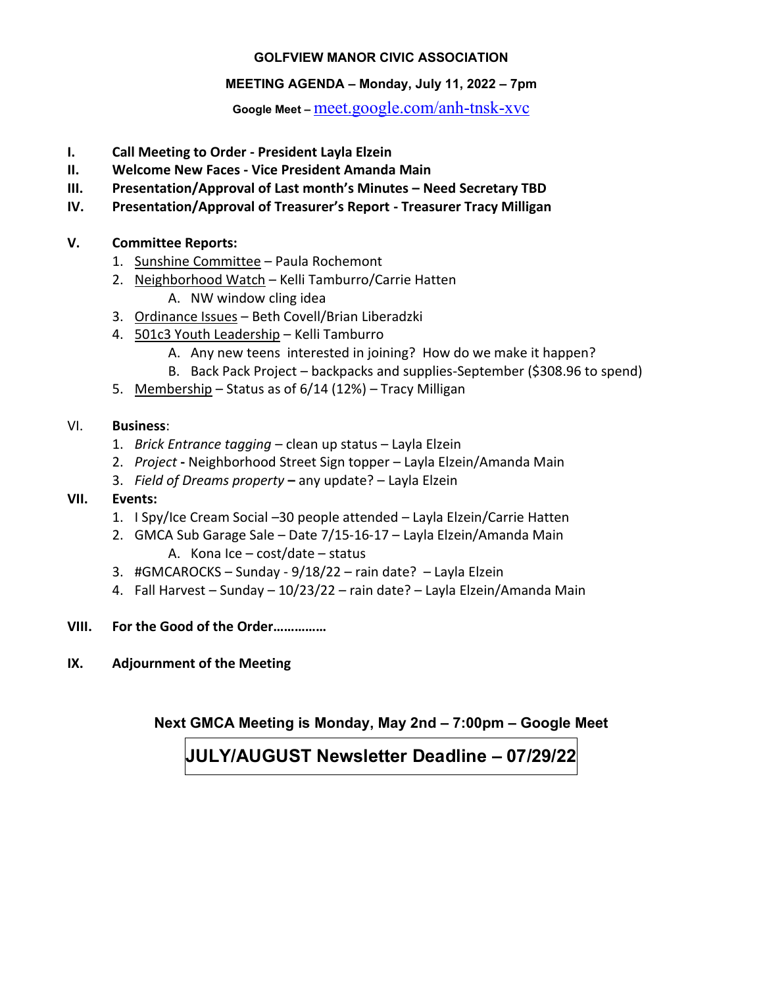#### **GOLFVIEW MANOR CIVIC ASSOCIATION**

#### **MEETING AGENDA – Monday, July11, 2022 –7pm**

**Google Meet –** [meet.google.com/anh-tnsk-xvc](http://meet.google.com/anh-tnsk-xvc)

- **I. Call Meeting to Order - President Layla Elzein**
- **II. Welcome New Faces - Vice President Amanda Main**
- **III. Presentation/Approval of Last month's Minutes – Need Secretary TBD**
- **IV. Presentation/Approval of Treasurer's Report - Treasurer Tracy Milligan**

#### **V. Committee Reports:**

- 1. Sunshine Committee Paula Rochemont
- 2. Neighborhood Watch Kelli Tamburro/Carrie Hatten
	- A. NW window cling idea
- 3. Ordinance Issues Beth Covell/Brian Liberadzki
- 4. 501c3 Youth Leadership Kelli Tamburro
	- A. Any new teens interested in joining? How do we make it happen?
	- B. Back Pack Project backpacks and supplies-September (\$308.96 to spend)
- 5. Membership Status as of 6/14 (12%) Tracy Milligan

#### VI. **Business**:

- 1. *Brick Entrance tagging* clean up status Layla Elzein
- 2. *Project* **-** Neighborhood Street Sign topper Layla Elzein/Amanda Main
- 3. *Field of Dreams property* **–** any update? Layla Elzein

#### **VII. Events:**

- 1. I Spy/Ice Cream Social –30 people attended Layla Elzein/Carrie Hatten
- 2. GMCA Sub Garage Sale Date 7/15-16-17 Layla Elzein/Amanda Main A. Kona Ice – cost/date – status
- 3. #GMCAROCKS Sunday 9/18/22 rain date? Layla Elzein
- 4. Fall Harvest Sunday 10/23/22 rain date? Layla Elzein/Amanda Main
- **VIII. For the Good of the Order……………**
- **IX. Adjournment of the Meeting**

**Next GMCA Meeting is Monday, May2nd–7:00pm – Google Meet**

**JULY/AUGUST Newsletter Deadline – 07/29/22**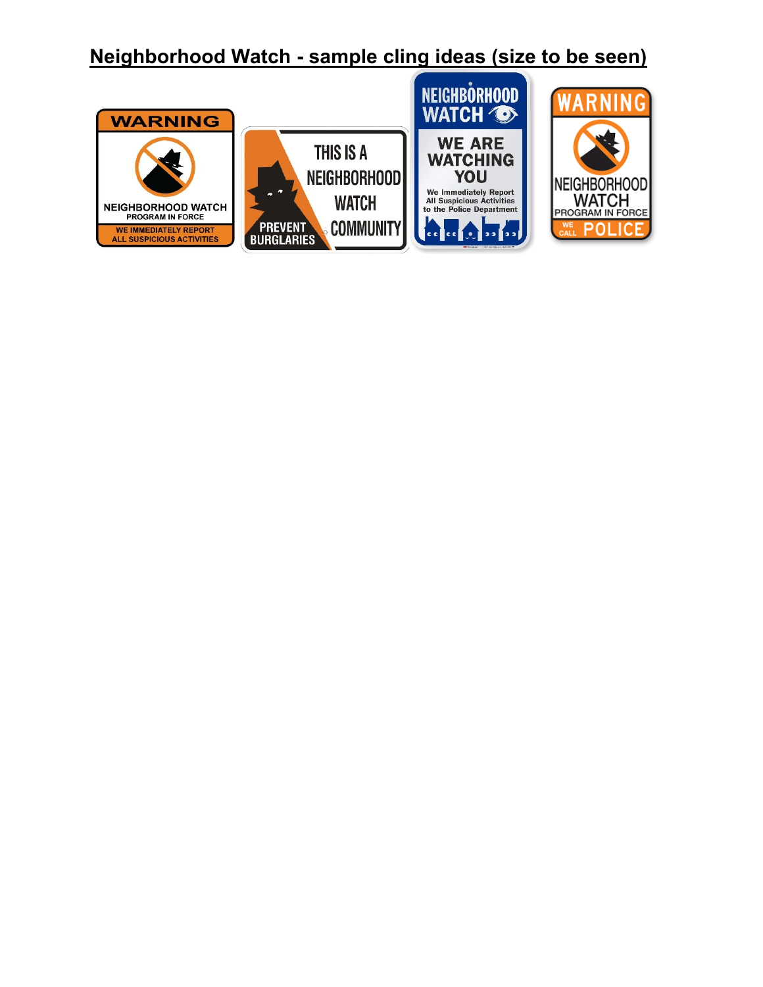## **Neighborhood Watch - sample cling ideas (size to be seen)**

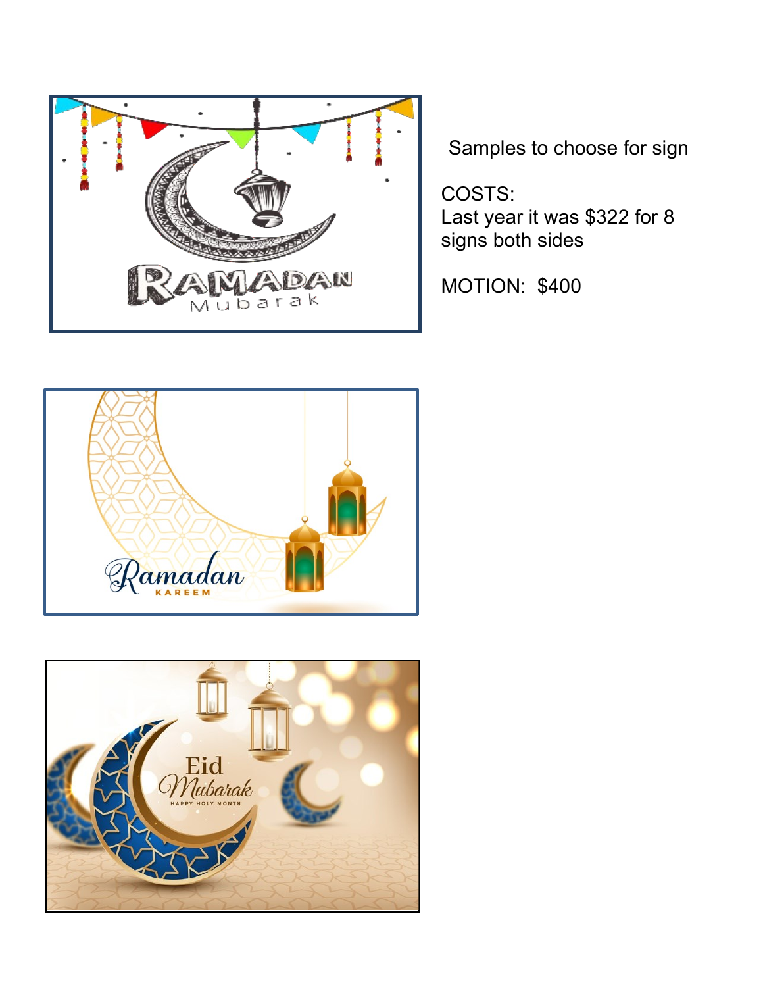

Samples to choose for sign

COSTS: Last year it was \$322 for 8 signs both sides

MOTION: \$400